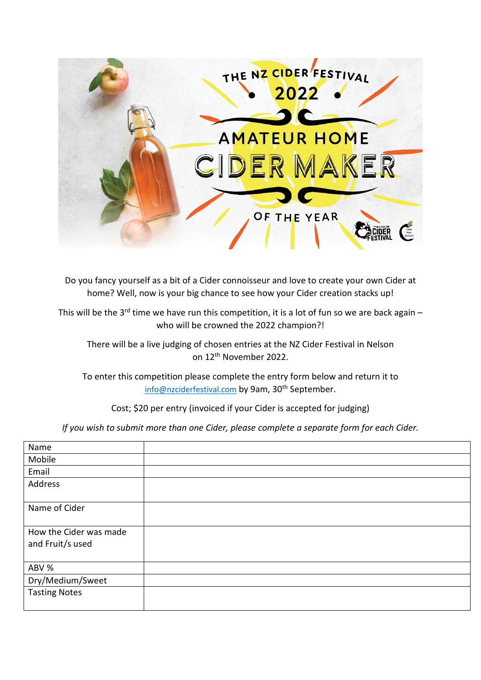

Do you fancy yourself as a bit of a Cider connoisseur and love to create your own Cider at home? Well, now is your big chance to see how your Cider creation stacks up!

This will be the 3<sup>rd</sup> time we have run this competition, it is a lot of fun so we are back again – who will be crowned the 2022 champion?!

There will be a live judging of chosen entries at the NZ Cider Festival in Nelson on 12th November 2022.

To enter this competition please complete the entry form below and return it to [info@nzciderfestival.com](mailto:info@nzciderfestival.com) by 9am, 30<sup>th</sup> September.

Cost; \$20 per entry (invoiced if your Cider is accepted for judging)

*If you wish to submit more than one Cider, please complete a separate form for each Cider.*

| Name                                       |  |
|--------------------------------------------|--|
| Mobile                                     |  |
| Email                                      |  |
| Address                                    |  |
| Name of Cider                              |  |
| How the Cider was made<br>and Fruit/s used |  |
| ABV %                                      |  |
| Dry/Medium/Sweet                           |  |
| <b>Tasting Notes</b>                       |  |